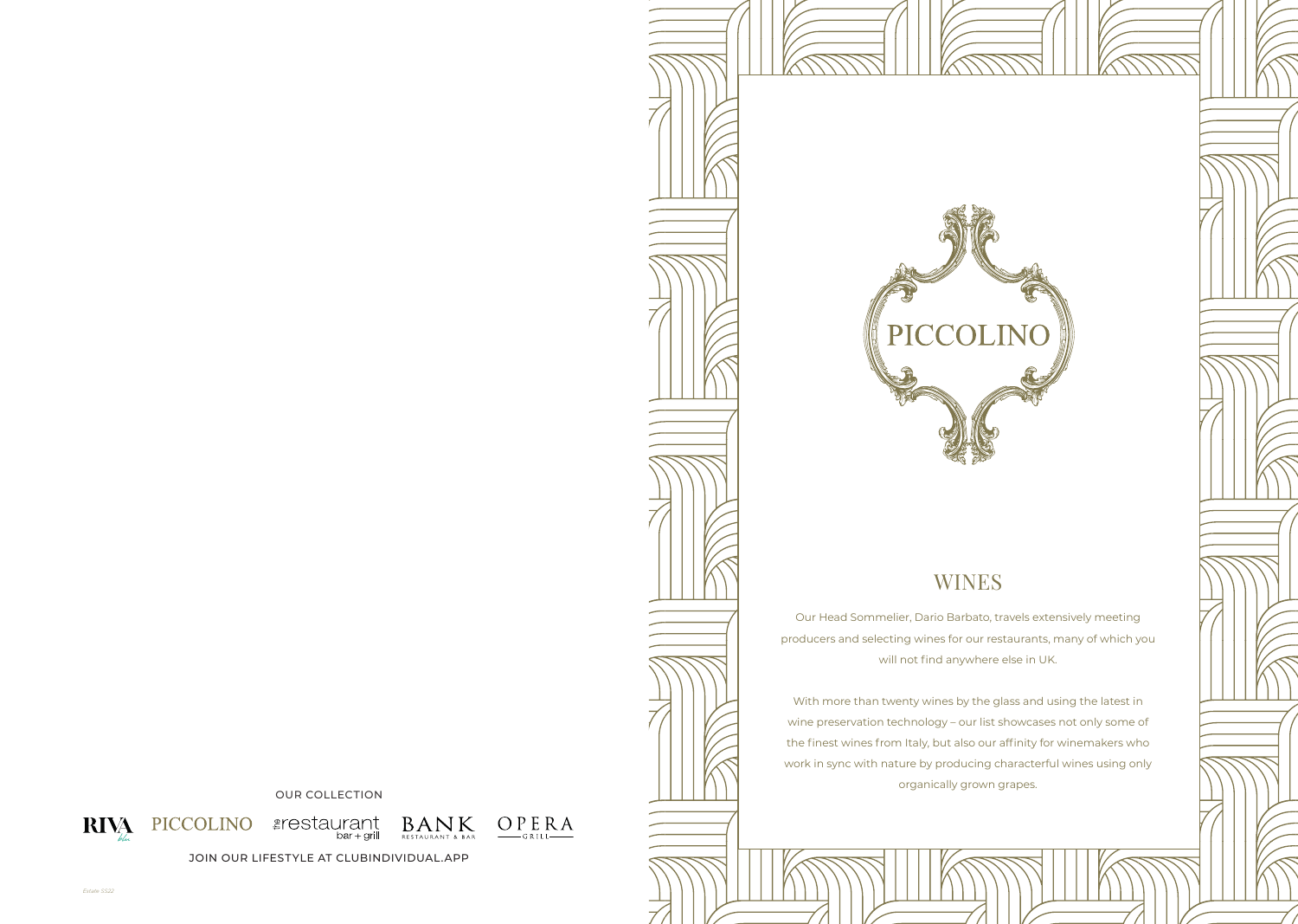OUR COLLECTION



 $\text{BAN}_{\text{RESTAURANT & BAR}}$ 



JOIN OUR LIFESTYLE AT CLUBINDIVIDUAL.APP



With more than twenty wines by the glass and using the latest in wine preservation technology – our list showcases not only some of the finest wines from Italy, but also our affinity for winemakers who work in sync with nature by producing characterful wines using only organically grown grapes.

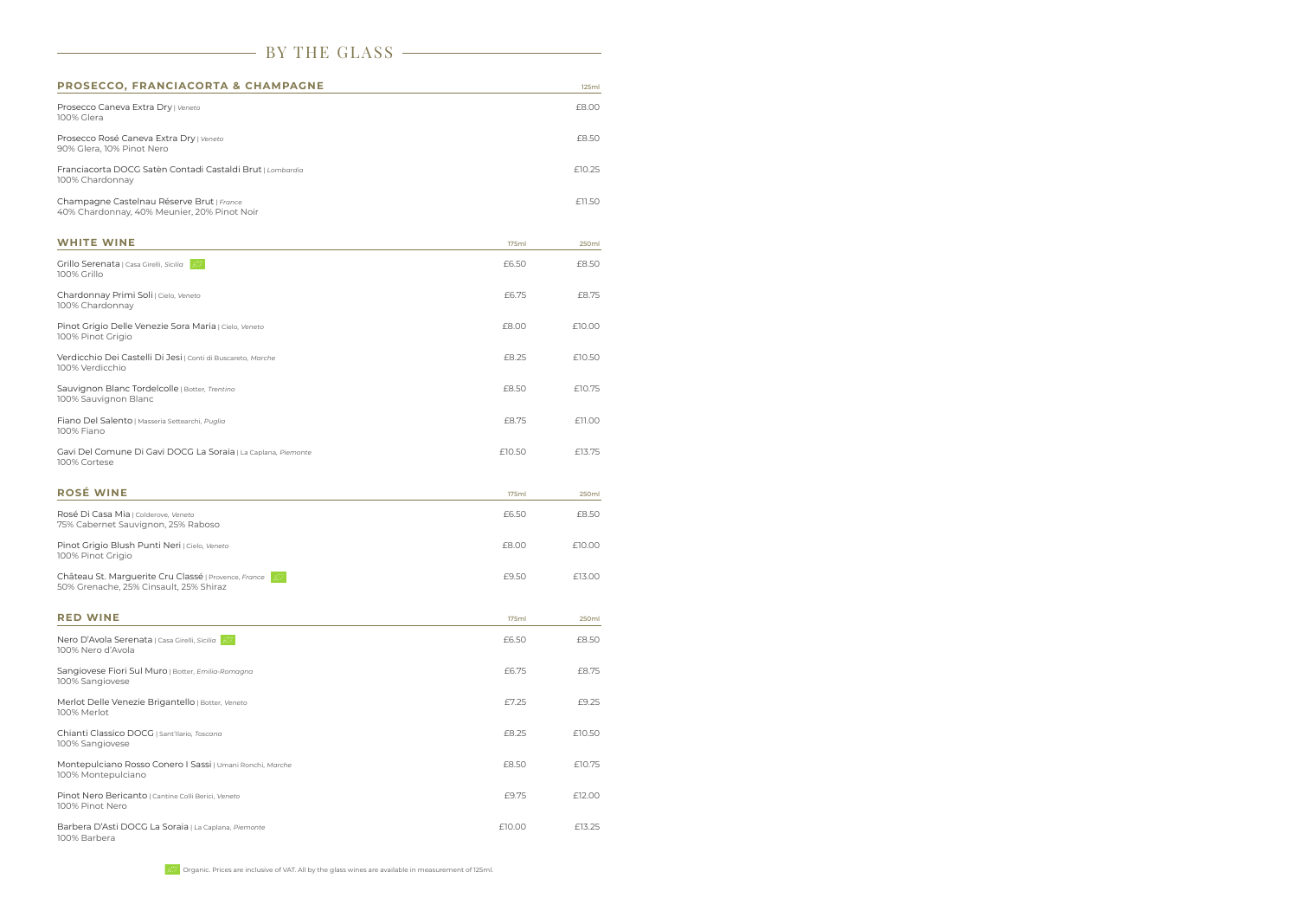| BY THE GLASS                                                                                   |              |        |  |  |
|------------------------------------------------------------------------------------------------|--------------|--------|--|--|
| PROSECCO, FRANCIACORTA & CHAMPAGNE                                                             |              | 125ml  |  |  |
| Prosecco Caneva Extra Dry   Veneto<br>100% Glera                                               |              | £8.00  |  |  |
| Prosecco Rosé Caneva Extra Dry   Veneto<br>90% Glera, 10% Pinot Nero                           |              | £8.50  |  |  |
| Franciacorta DOCG Satèn Contadi Castaldi Brut   Lombardia<br>100% Chardonnay                   |              | £10.25 |  |  |
| Champagne Castelnau Réserve Brut   France<br>40% Chardonnay, 40% Meunier, 20% Pinot Noir       |              | £11.50 |  |  |
| <b>WHITE WINE</b>                                                                              | 175ml        | 250ml  |  |  |
| Grillo Serenata   Casa Girelli, Sicilia<br>100% Grillo                                         | £6.50        | £8.50  |  |  |
| Chardonnay Primi Soli   Cielo, Veneto<br>100% Chardonnay                                       | £6.75        | £8.75  |  |  |
| Pinot Grigio Delle Venezie Sora Maria   Cielo, Veneto<br>100% Pinot Grigio                     | £8.00        | £10.00 |  |  |
| Verdicchio Dei Castelli Di Jesi   Conti di Buscareto, Marche<br>100% Verdicchio                | £8.25        | £10.50 |  |  |
| Sauvignon Blanc Tordelcolle   Botter, Trentino<br>100% Sauvignon Blanc                         | £8.50        | £10.75 |  |  |
| Fiano Del Salento   Masseria Settearchi, Puglia<br>100% Fiano                                  | £8.75        | £11.00 |  |  |
| Gavi Del Comune Di Gavi DOCG La Soraia   La Caplana, Piemonte<br>100% Cortese                  | £10.50       | £13.75 |  |  |
| <b>ROSÉ WINE</b>                                                                               | <b>175ml</b> | 250ml  |  |  |
| Rosé Di Casa Mia   Colderove, Veneto<br>75% Cabernet Sauvignon, 25% Raboso                     | £6.50        | £8.50  |  |  |
| Pinot Grigio Blush Punti Neri   Cielo, Veneto<br>100% Pinot Grigio                             | £8.00        | £10.00 |  |  |
| Château St. Marguerite Cru Classé   Provence, France<br>50% Grenache, 25% Cinsault, 25% Shiraz | £9.50        | £13.00 |  |  |
| <b>RED WINE</b>                                                                                | <b>175ml</b> | 250ml  |  |  |
| Nero D'Avola Serenata   Casa Girelli, Sicilia  <br>100% Nero d'Avola                           | £6.50        | £8.50  |  |  |
| Sangiovese Fiori Sul Muro   Botter, Emilia-Romagna<br>100% Sangiovese                          | £6.75        | £8.75  |  |  |
| Merlot Delle Venezie Brigantello   Botter, Veneto<br>100% Merlot                               | £7.25        | £9.25  |  |  |
| Chianti Classico DOCG   Sant'Ilario, Toscana<br>100% Sangiovese                                | £8.25        | £10.50 |  |  |
| Montepulciano Rosso Conero I Sassi   Umani Ronchi, Marche<br>100% Montepulciano                | £8.50        | £10.75 |  |  |
| Pinot Nero Bericanto   Cantine Colli Berici, Veneto<br>100% Pinot Nero                         | £9.75        | £12.00 |  |  |
| Barbera D'Asti DOCG La Soraia   La Caplana, Piemonte<br>100% Barbera                           | £10.00       | £13.25 |  |  |

## Organic. Prices are inclusive of VAT. All by the glass wines are available in measurement of 125ml.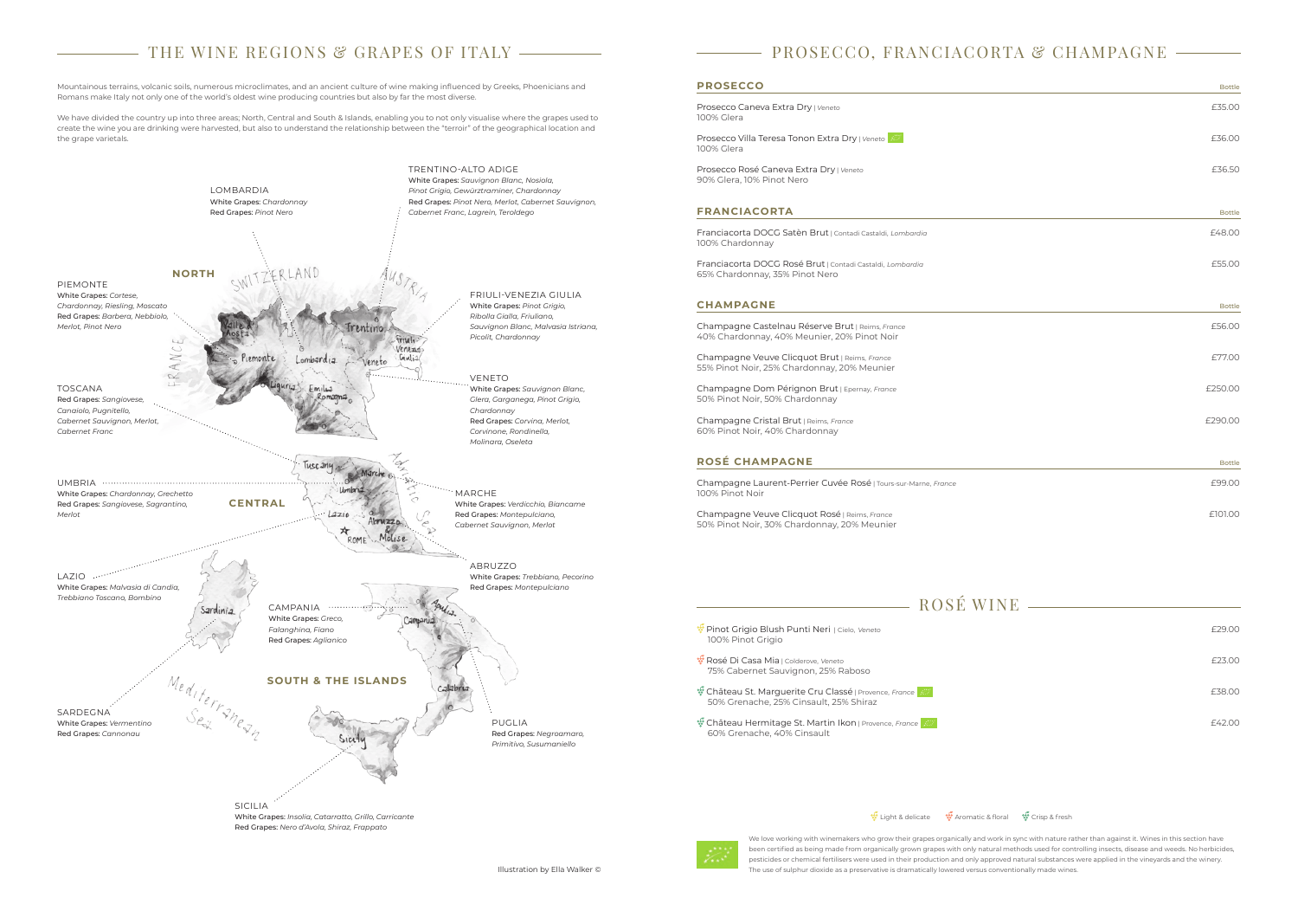# $-$  THE WINE REGIONS & GRAPES OF ITALY  $-\overline{\phantom{a}}$

Mountainous terrains, volcanic soils, numerous microclimates, and an ancient culture of wine making influenced by Greeks, Phoenicians and Romans make Italy not only one of the world's oldest wine producing countries but also by far the most diverse.

We have divided the country up into three areas; North, Central and South & Islands, enabling you to not only visualise where the grapes used to create the wine you are drinking were harvested, but also to understand the relationship between the "terroir" of the geographical location and the grape varietals.

Illustration by Ella Walker ©

| <b>Bottle</b> |
|---------------|
| £35.00        |
| £36.00        |
| £36.50        |
| <b>Bottle</b> |
| £48.00        |
| £55.00        |
| <b>Bottle</b> |
| £56.00        |
| £77.00        |
| £250.00       |
| £290.00       |
| <b>Bottle</b> |
| £99.00        |
| £101.00       |

 $-$  ROSÉ WINE  $-$ 

Prosecco Caneva Extra Dry | Veneto 100% Glera

Prosecco Rosé Caneva Extra Drv | Veneto 90% Glera, 10% Pinot Nero

### **FRANCIACORTA**

Champagne Castelnau Réserve Brut | Reims, *France* 40% Chardonnay, 40% Meunier, 20% Pinot Noir

Champagne Veuve Clicquot Brut | Reims, *France* 55% Pinot Noir, 25% Chardonnay, 20% Meunier

Champagne Dom Pérignon Brut | Epernay, *France* 50% Pinot Noir, 50% Chardonnay



# **PROSECCO, FRANCIACORTA & CHAMPAGNE**

## **PROSECCO**

Champagne Cristal Brut | Reims, *France* 60% Pinot Noir, 40% Chardonnay

### **ROSÉ CHAMPAGNE**

Champagne Laurent-Perrier Cuvée Rosé | Tours-sur-Marne, France 100% Pinot Noir

Champagne Veuve Clicquot Rosé | Reims, *France* 50% Pinot Noir, 30% Chardonnay, 20% Meunier

We love working with winemakers who grow their grapes organically and work in sync with nature rather than against it. Wines in this section have been certified as being made from organically grown grapes with only natural methods used for controlling insects, disease and weeds. No herbicides, pesticides or chemical fertilisers were used in their production and only approved natural substances were applied in the vineyards and the winery. The use of sulphur dioxide as a preservative is dramatically lowered versus conventionally made wines.

**W** Château St. Marguerite Cru Classé | Provence, *France* **EXASEAU AREA AND THE CRIP CONTROL** E38.00 50% Grenache, 25% Cinsault, 25% Shiraz

Prosecco Villa Teresa Tonon Extra Dry | *Veneto* £36.00 100% Glera

Franciacorta DOCG Satèn Brut | Contadi Castaldi, *Lombardia* £48.00 100% Chardonnay

Franciacorta DOCG Rosé Brut | Contadi Castaldi, *Lombardia* £55.00 65% Chardonnay, 35% Pinot Nero

## **CHAMPAGNE**

 Pinot Grigio Blush Punti Neri | Cielo, *Veneto* £29.00 100% Pinot Grigio

 Rosé Di Casa Mia | Colderove, *Veneto* £23.00 75% Cabernet Sauvignon, 25% Raboso

 Château Hermitage St. Martin Ikon | Provence, *France* £42.00 60% Grenache, 40% Cinsault

## Light & delicate **W** Aromatic & floral **Crisp & fresh**